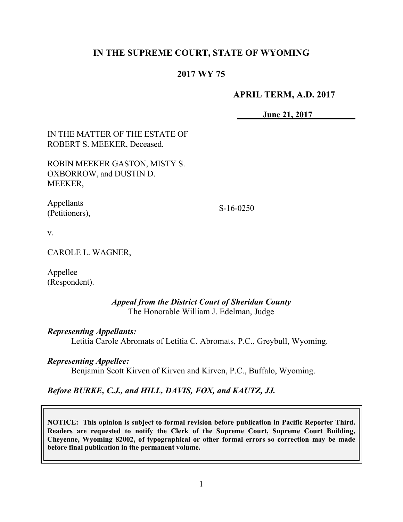# **IN THE SUPREME COURT, STATE OF WYOMING**

# **2017 WY 75**

### **APRIL TERM, A.D. 2017**

**June 21, 2017**

| IN THE MATTER OF THE ESTATE OF<br>ROBERT S. MEEKER, Deceased.              |             |
|----------------------------------------------------------------------------|-------------|
| ROBIN MEEKER GASTON, MISTY S.<br>OXBORROW, and DUSTIN D.<br><b>MEEKER,</b> |             |
| Appellants<br>(Petitioners),                                               | $S-16-0250$ |
| $V_{\cdot}$                                                                |             |
| CAROLE L. WAGNER,                                                          |             |
| A 11                                                                       |             |

Appellee (Respondent).

#### *Appeal from the District Court of Sheridan County* The Honorable William J. Edelman, Judge

#### *Representing Appellants:*

Letitia Carole Abromats of Letitia C. Abromats, P.C., Greybull, Wyoming.

#### *Representing Appellee:*

Benjamin Scott Kirven of Kirven and Kirven, P.C., Buffalo, Wyoming.

#### *Before BURKE, C.J., and HILL, DAVIS, FOX, and KAUTZ, JJ.*

**NOTICE: This opinion is subject to formal revision before publication in Pacific Reporter Third. Readers are requested to notify the Clerk of the Supreme Court, Supreme Court Building, Cheyenne, Wyoming 82002, of typographical or other formal errors so correction may be made before final publication in the permanent volume.**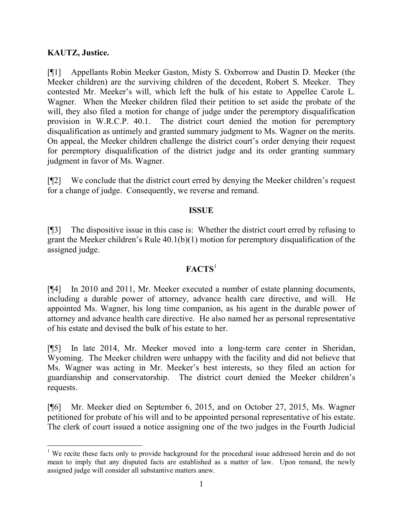# **KAUTZ, Justice.**

l

[¶1] Appellants Robin Meeker Gaston, Misty S. Oxborrow and Dustin D. Meeker (the Meeker children) are the surviving children of the decedent, Robert S. Meeker. They contested Mr. Meeker's will, which left the bulk of his estate to Appellee Carole L. Wagner. When the Meeker children filed their petition to set aside the probate of the will, they also filed a motion for change of judge under the peremptory disqualification provision in W.R.C.P. 40.1. The district court denied the motion for peremptory disqualification as untimely and granted summary judgment to Ms. Wagner on the merits. On appeal, the Meeker children challenge the district court's order denying their request for peremptory disqualification of the district judge and its order granting summary judgment in favor of Ms. Wagner.

[¶2] We conclude that the district court erred by denying the Meeker children's request for a change of judge. Consequently, we reverse and remand.

### **ISSUE**

[¶3] The dispositive issue in this case is: Whether the district court erred by refusing to grant the Meeker children's Rule 40.1(b)(1) motion for peremptory disqualification of the assigned judge.

# **FACTS**<sup>1</sup>

[¶4] In 2010 and 2011, Mr. Meeker executed a number of estate planning documents, including a durable power of attorney, advance health care directive, and will. He appointed Ms. Wagner, his long time companion, as his agent in the durable power of attorney and advance health care directive. He also named her as personal representative of his estate and devised the bulk of his estate to her.

[¶5] In late 2014, Mr. Meeker moved into a long-term care center in Sheridan, Wyoming. The Meeker children were unhappy with the facility and did not believe that Ms. Wagner was acting in Mr. Meeker's best interests, so they filed an action for guardianship and conservatorship. The district court denied the Meeker children's requests.

[¶6] Mr. Meeker died on September 6, 2015, and on October 27, 2015, Ms. Wagner petitioned for probate of his will and to be appointed personal representative of his estate. The clerk of court issued a notice assigning one of the two judges in the Fourth Judicial

<sup>&</sup>lt;sup>1</sup> We recite these facts only to provide background for the procedural issue addressed herein and do not mean to imply that any disputed facts are established as a matter of law. Upon remand, the newly assigned judge will consider all substantive matters anew.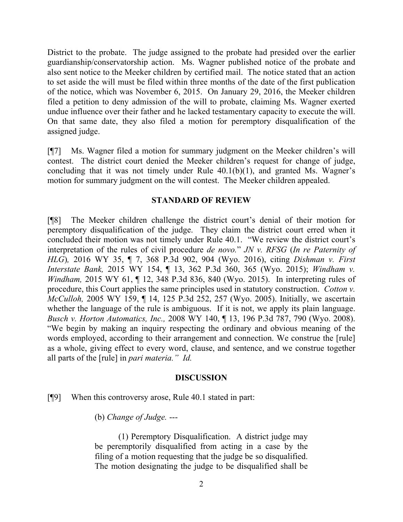District to the probate. The judge assigned to the probate had presided over the earlier guardianship/conservatorship action. Ms. Wagner published notice of the probate and also sent notice to the Meeker children by certified mail. The notice stated that an action to set aside the will must be filed within three months of the date of the first publication of the notice, which was November 6, 2015. On January 29, 2016, the Meeker children filed a petition to deny admission of the will to probate, claiming Ms. Wagner exerted undue influence over their father and he lacked testamentary capacity to execute the will. On that same date, they also filed a motion for peremptory disqualification of the assigned judge.

[¶7] Ms. Wagner filed a motion for summary judgment on the Meeker children's will contest. The district court denied the Meeker children's request for change of judge, concluding that it was not timely under Rule 40.1(b)(1), and granted Ms. Wagner's motion for summary judgment on the will contest. The Meeker children appealed.

#### **STANDARD OF REVIEW**

[¶8] The Meeker children challenge the district court's denial of their motion for peremptory disqualification of the judge. They claim the district court erred when it concluded their motion was not timely under Rule 40.1. "We review the district court's interpretation of the rules of civil procedure *de novo.*" *JN v. RFSG* (*In re Paternity of HLG*)*,* 2016 WY 35, ¶ 7, 368 P.3d 902, 904 (Wyo. 2016), citing *Dishman v. First Interstate Bank,* 2015 WY 154, ¶ 13, 362 P.3d 360, 365 (Wyo. 2015); *Windham v. Windham,* 2015 WY 61, ¶ 12, 348 P.3d 836, 840 (Wyo. 2015). In interpreting rules of procedure, this Court applies the same principles used in statutory construction. *Cotton v. McCulloh,* 2005 WY 159, ¶ 14, 125 P.3d 252, 257 (Wyo. 2005). Initially, we ascertain whether the language of the rule is ambiguous. If it is not, we apply its plain language. *Busch v. Horton Automatics, Inc.,* 2008 WY 140, ¶ 13, 196 P.3d 787, 790 (Wyo. 2008). "We begin by making an inquiry respecting the ordinary and obvious meaning of the words employed, according to their arrangement and connection. We construe the [rule] as a whole, giving effect to every word, clause, and sentence, and we construe together all parts of the [rule] in *pari materia." Id.* 

#### **DISCUSSION**

## [¶9] When this controversy arose, Rule 40.1 stated in part:

(b) *Change of Judge.* ---

(1) Peremptory Disqualification.A district judge may be peremptorily disqualified from acting in a case by the filing of a motion requesting that the judge be so disqualified. The motion designating the judge to be disqualified shall be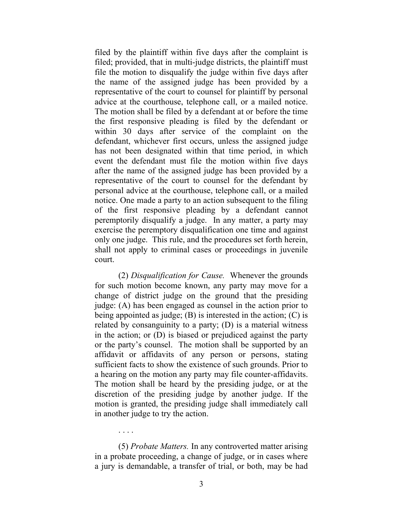filed by the plaintiff within five days after the complaint is filed; provided, that in multi-judge districts, the plaintiff must file the motion to disqualify the judge within five days after the name of the assigned judge has been provided by a representative of the court to counsel for plaintiff by personal advice at the courthouse, telephone call, or a mailed notice. The motion shall be filed by a defendant at or before the time the first responsive pleading is filed by the defendant or within 30 days after service of the complaint on the defendant, whichever first occurs, unless the assigned judge has not been designated within that time period, in which event the defendant must file the motion within five days after the name of the assigned judge has been provided by a representative of the court to counsel for the defendant by personal advice at the courthouse, telephone call, or a mailed notice. One made a party to an action subsequent to the filing of the first responsive pleading by a defendant cannot peremptorily disqualify a judge. In any matter, a party may exercise the peremptory disqualification one time and against only one judge. This rule, and the procedures set forth herein, shall not apply to criminal cases or proceedings in juvenile court.

(2) *Disqualification for Cause.* Whenever the grounds for such motion become known, any party may move for a change of district judge on the ground that the presiding judge: (A) has been engaged as counsel in the action prior to being appointed as judge; (B) is interested in the action; (C) is related by consanguinity to a party; (D) is a material witness in the action; or (D) is biased or prejudiced against the party or the party's counsel. The motion shall be supported by an affidavit or affidavits of any person or persons, stating sufficient facts to show the existence of such grounds. Prior to a hearing on the motion any party may file counter-affidavits. The motion shall be heard by the presiding judge, or at the discretion of the presiding judge by another judge. If the motion is granted, the presiding judge shall immediately call in another judge to try the action.

(5) *Probate Matters.* In any controverted matter arising in a probate proceeding, a change of judge, or in cases where a jury is demandable, a transfer of trial, or both, may be had

. . . .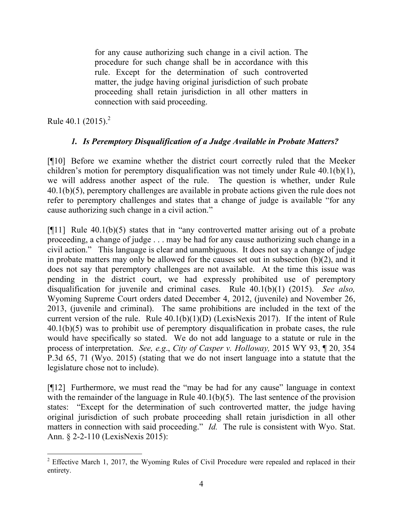for any cause authorizing such change in a civil action. The procedure for such change shall be in accordance with this rule. Except for the determination of such controverted matter, the judge having original jurisdiction of such probate proceeding shall retain jurisdiction in all other matters in connection with said proceeding.

Rule 40.1  $(2015)^2$ 

# *1. Is Peremptory Disqualification of a Judge Available in Probate Matters?*

[¶10] Before we examine whether the district court correctly ruled that the Meeker children's motion for peremptory disqualification was not timely under Rule 40.1(b)(1), we will address another aspect of the rule. The question is whether, under Rule 40.1(b)(5), peremptory challenges are available in probate actions given the rule does not refer to peremptory challenges and states that a change of judge is available "for any cause authorizing such change in a civil action."

 $[$ [[11] Rule 40.1(b)(5) states that in "any controverted matter arising out of a probate proceeding, a change of judge . . . may be had for any cause authorizing such change in a civil action." This language is clear and unambiguous. It does not say a change of judge in probate matters may only be allowed for the causes set out in subsection (b)(2), and it does not say that peremptory challenges are not available. At the time this issue was pending in the district court, we had expressly prohibited use of peremptory disqualification for juvenile and criminal cases. Rule 40.1(b)(1) (2015). *See also,* Wyoming Supreme Court orders dated December 4, 2012, (juvenile) and November 26, 2013, (juvenile and criminal). The same prohibitions are included in the text of the current version of the rule. Rule  $40.1(b)(1)(D)$  (LexisNexis 2017). If the intent of Rule 40.1(b)(5) was to prohibit use of peremptory disqualification in probate cases, the rule would have specifically so stated. We do not add language to a statute or rule in the process of interpretation. *See, e.g*., *City of Casper v. Holloway,* 2015 WY 93, ¶ 20, 354 P.3d 65, 71 (Wyo. 2015) (stating that we do not insert language into a statute that the legislature chose not to include).

[¶12] Furthermore, we must read the "may be had for any cause" language in context with the remainder of the language in Rule 40.1(b)(5). The last sentence of the provision states: "Except for the determination of such controverted matter, the judge having original jurisdiction of such probate proceeding shall retain jurisdiction in all other matters in connection with said proceeding." *Id.* The rule is consistent with Wyo. Stat. Ann. § 2-2-110 (LexisNexis 2015):

 $2$  Effective March 1, 2017, the Wyoming Rules of Civil Procedure were repealed and replaced in their entirety.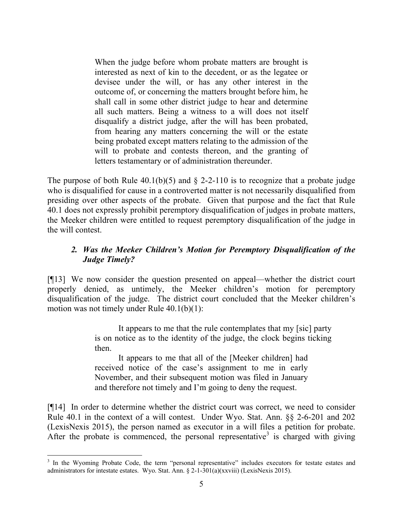When the judge before whom probate matters are brought is interested as next of kin to the decedent, or as the legatee or devisee under the will, or has any other interest in the outcome of, or concerning the matters brought before him, he shall call in some other district judge to hear and determine all such matters. Being a witness to a will does not itself disqualify a district judge, after the will has been probated, from hearing any matters concerning the will or the estate being probated except matters relating to the admission of the will to probate and contests thereon, and the granting of letters testamentary or of administration thereunder.

The purpose of both Rule  $40.1(b)(5)$  and § 2-2-110 is to recognize that a probate judge who is disqualified for cause in a controverted matter is not necessarily disqualified from presiding over other aspects of the probate. Given that purpose and the fact that Rule 40.1 does not expressly prohibit peremptory disqualification of judges in probate matters, the Meeker children were entitled to request peremptory disqualification of the judge in the will contest.

# *2. Was the Meeker Children's Motion for Peremptory Disqualification of the Judge Timely?*

[¶13] We now consider the question presented on appeal—whether the district court properly denied, as untimely, the Meeker children's motion for peremptory disqualification of the judge. The district court concluded that the Meeker children's motion was not timely under Rule 40.1(b)(1):

> It appears to me that the rule contemplates that my [sic] party is on notice as to the identity of the judge, the clock begins ticking then.

It appears to me that all of the [Meeker children] had received notice of the case's assignment to me in early November, and their subsequent motion was filed in January and therefore not timely and I'm going to deny the request.

[¶14] In order to determine whether the district court was correct, we need to consider Rule 40.1 in the context of a will contest. Under Wyo. Stat. Ann. §§ 2-6-201 and 202 (LexisNexis 2015), the person named as executor in a will files a petition for probate. After the probate is commenced, the personal representative<sup>3</sup> is charged with giving

<sup>&</sup>lt;sup>3</sup> In the Wyoming Probate Code, the term "personal representative" includes executors for testate estates and administrators for intestate estates. Wyo. Stat. Ann. § 2-1-301(a)(xxviii) (LexisNexis 2015).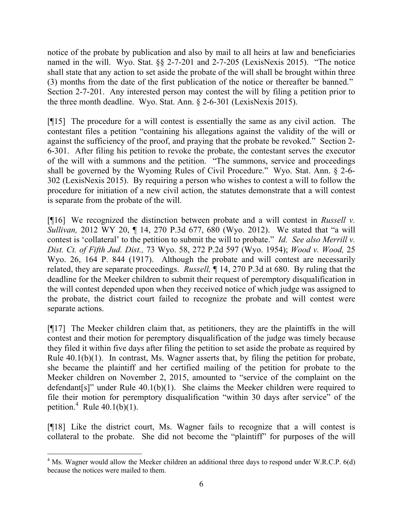notice of the probate by publication and also by mail to all heirs at law and beneficiaries named in the will. Wyo. Stat. §§ 2-7-201 and 2-7-205 (LexisNexis 2015). "The notice shall state that any action to set aside the probate of the will shall be brought within three (3) months from the date of the first publication of the notice or thereafter be banned." Section 2-7-201. Any interested person may contest the will by filing a petition prior to the three month deadline. Wyo. Stat. Ann. § 2-6-301 (LexisNexis 2015).

[¶15] The procedure for a will contest is essentially the same as any civil action. The contestant files a petition "containing his allegations against the validity of the will or against the sufficiency of the proof, and praying that the probate be revoked." Section 2- 6-301. After filing his petition to revoke the probate, the contestant serves the executor of the will with a summons and the petition. "The summons, service and proceedings shall be governed by the Wyoming Rules of Civil Procedure." Wyo. Stat. Ann. § 2-6- 302 (LexisNexis 2015). By requiring a person who wishes to contest a will to follow the procedure for initiation of a new civil action, the statutes demonstrate that a will contest is separate from the probate of the will.

[¶16] We recognized the distinction between probate and a will contest in *Russell v. Sullivan,* 2012 WY 20, ¶ 14, 270 P.3d 677, 680 (Wyo. 2012). We stated that "a will contest is 'collateral' to the petition to submit the will to probate." *Id. See also Merrill v. Dist. Ct. of Fifth Jud. Dist.,* 73 Wyo. 58, 272 P.2d 597 (Wyo. 1954); *Wood v. Wood,* 25 Wyo. 26, 164 P. 844 (1917). Although the probate and will contest are necessarily related, they are separate proceedings. *Russell,* ¶ 14, 270 P.3d at 680. By ruling that the deadline for the Meeker children to submit their request of peremptory disqualification in the will contest depended upon when they received notice of which judge was assigned to the probate, the district court failed to recognize the probate and will contest were separate actions.

[¶17] The Meeker children claim that, as petitioners, they are the plaintiffs in the will contest and their motion for peremptory disqualification of the judge was timely because they filed it within five days after filing the petition to set aside the probate as required by Rule 40.1(b)(1). In contrast, Ms. Wagner asserts that, by filing the petition for probate, she became the plaintiff and her certified mailing of the petition for probate to the Meeker children on November 2, 2015, amounted to "service of the complaint on the defendant[s]" under Rule 40.1(b)(1). She claims the Meeker children were required to file their motion for peremptory disqualification "within 30 days after service" of the petition.<sup>4</sup> Rule  $40.1(b)(1)$ .

[¶18] Like the district court, Ms. Wagner fails to recognize that a will contest is collateral to the probate. She did not become the "plaintiff" for purposes of the will

<sup>&</sup>lt;sup>4</sup> Ms. Wagner would allow the Meeker children an additional three days to respond under W.R.C.P. 6(d) because the notices were mailed to them.